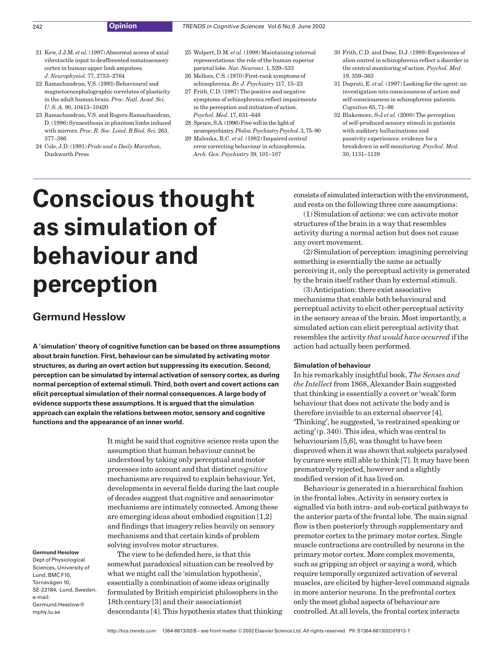- 21 Kew, J.J.M. *et al.* (1997) Abnormal access of axial vibrotactile input to deafferented somatosensory cortex in human upper limb amputees. *J. Neurophysiol.* 77, 2753–2764
- 22 Ramachandran, V.S. (1993) Behavioural and magnetoencephalographic correlates of plasticity in the adult human brain. *Proc. Natl. Acad. Sci. U. S. A.* 90, 10413–10420
- 23 Ramachandran, V.S. and Rogers-Ramachandran, D. (1996) Synaesthesia in phantom limbs induced with mirrors. *Proc. R. Soc. Lond*. *B Biol. Sci.* 263, 377–386
- 24 Cole, J.D. (1991) *Pride and a Daily Marathon,* Duckworth Press
- 25 Wolpert, D.M. *et al.* (1998) Maintaining internal representations: the role of the human superior parietal lobe. *Nat. Neurosci*. 1, 529–533
- 26 Mellors, C.S. (1970) First-rank symptoms of schizophrenia. *Br. J. Psychiatry* 117, 15–23
- 27 Frith, C.D. (1987) The positive and negative symptoms of schizophrenia reflect impairments in the perception and initiation of action. *Psychol. Med*. 17, 631–648
- 28 Spence, S.A. (1996) Free will in the light of neuropsychiatry. *Philos. Psychiatry Psychol*. 3, 75–90
- 29 Malenka, R.C. *et al.* (1982) Impaired central error correcting behaviour in schizophrenia. *Arch. Gen. Psychiatry* 39, 101–107
- 30 Frith, C.D. and Done, D.J. (1989) Experiences of alien control in schizophrenia reflect a disorder in the central monitoring of action. *Psychol. Med*. 19, 359–363
- 31 Daprati, E. *et al.* (1997) Looking for the agent: an investigation into consciousness of action and self-consciousness in schizophrenic patients. *Cognition* 65, 71–86
- 32 Blakemore, S-J *et al.* (2000) The perception of self-produced sensory stimuli in patients with auditory hallucinations and passivity experiences: evidence for a breakdown in self-monitoring. *Psychol. Med.*  30, 1131–1139

# **Conscious thought as simulation of behaviour and perception**

# **Germund Hesslow**

**A 'simulation' theory of cognitive function can be based on three assumptions about brain function. First, behaviour can be simulated by activating motor structures, as during an overt action but suppressing its execution. Second, perception can be simulated by internal activation of sensory cortex, as during normal perception of external stimuli. Third, both overt and covert actions can elicit perceptual simulation of their normal consequences. A large body of evidence supports these assumptions. It is argued that the simulation approach can explain the relations between motor, sensory and cognitive functions and the appearance of an inner world.**

> It might be said that cognitive science rests upon the assumption that human behaviour cannot be understood by taking only perceptual and motor processes into account and that distinct *cognitive* mechanisms are required to explain behaviour. Yet, developments in several fields during the last couple of decades suggest that cognitive and sensorimotor mechanisms are intimately connected. Among these are emerging ideas about embodied cognition [1,2] and findings that imagery relies heavily on sensory mechanisms and that certain kinds of problem solving involves motor structures.

Dept of Physiological Sciences, University of Lund, BMC F10, Tornavägen 10, SE-22184, Lund, Sweden. e-mail: Germund.Hesslow@ mphy.lu.se

**Germund Hesslow**

The view to be defended here, is that this somewhat paradoxical situation can be resolved by what we might call the 'simulation hypothesis', essentially a combination of some ideas originally formulated by British empiricist philosophers in the 18th century [3] and their associationist descendants [4]. This hypothesis states that thinking consists of simulated interaction with the environment, and rests on the following three core assumptions:

(1) Simulation of actions: we can activate motor structures of the brain in a way that resembles activity during a normal action but does not cause any overt movement.

(2) Simulation of perception: imagining perceiving something is essentially the same as actually perceiving it, only the perceptual activity is generated by the brain itself rather than by external stimuli.

(3) Anticipation: there exist associative mechanisms that enable both behavioural and perceptual activity to elicit other perceptual activity in the sensory areas of the brain. Most importantly, a simulated action can elicit perceptual activity that resembles the activity *that would have occurred* if the action had actually been performed*.*

#### **Simulation of behaviour**

In his remarkably insightful book, *The Senses and the Intellect* from 1868, Alexander Bain suggested that thinking is essentially a covert or 'weak'form behaviour that does not activate the body and is therefore invisible to an external observer [4]. 'Thinking', he suggested, 'is restrained speaking or acting'(p. 340). This idea, which was central to behaviourism [5,6], was thought to have been disproved when it was shown that subjects paralysed by curare were still able to think [7]. It may have been prematurely rejected, however and a slightly modified version of it has lived on.

Behaviour is generated in a hierarchical fashion in the frontal lobes. Activity in sensory cortex is signalled via both intra- and sub-cortical pathways to the anterior parts of the frontal lobe. The main signal flow is then posteriorly through supplementary and premotor cortex to the primary motor cortex. Single muscle contractions are controlled by neurons in the primary motor cortex. More complex movements, such as gripping an object or saying a word, which require temporally organized activation of several muscles, are elicited by higher-level command signals in more anterior neurons. In the prefrontal cortex only the most global aspects of behaviour are controlled. At all levels, the frontal cortex interacts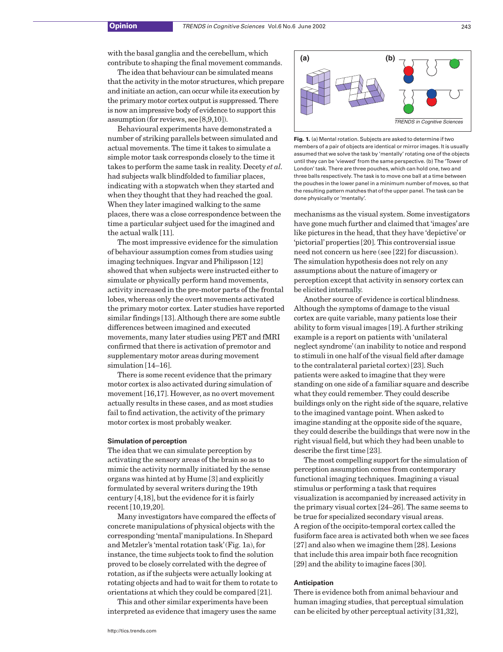with the basal ganglia and the cerebellum, which contribute to shaping the final movement commands.

The idea that behaviour can be simulated means that the activity in the motor structures, which prepare and initiate an action, can occur while its execution by the primary motor cortex output is suppressed. There is now an impressive body of evidence to support this assumption (for reviews, see [8,9,10]).

Behavioural experiments have demonstrated a number of striking parallels between simulated and actual movements. The time it takes to simulate a simple motor task corresponds closely to the time it takes to perform the same task in reality. Decety *et al.* had subjects walk blindfolded to familiar places, indicating with a stopwatch when they started and when they thought that they had reached the goal. When they later imagined walking to the same places, there was a close correspondence between the time a particular subject used for the imagined and the actual walk [11].

The most impressive evidence for the simulation of behaviour assumption comes from studies using imaging techniques. Ingvar and Philipsson [12] showed that when subjects were instructed either to simulate or physically perform hand movements, activity increased in the pre-motor parts of the frontal lobes, whereas only the overt movements activated the primary motor cortex. Later studies have reported similar findings [13]. Although there are some subtle differences between imagined and executed movements, many later studies using PET and fMRI confirmed that there is activation of premotor and supplementary motor areas during movement simulation [14–16].

There is some recent evidence that the primary motor cortex is also activated during simulation of movement [16,17]. However, as no overt movement actually results in these cases, and as most studies fail to find activation, the activity of the primary motor cortex is most probably weaker.

#### **Simulation of perception**

The idea that we can simulate perception by activating the sensory areas of the brain so as to mimic the activity normally initiated by the sense organs was hinted at by Hume [3] and explicitly formulated by several writers during the 19th century [4,18], but the evidence for it is fairly recent [10,19,20].

Many investigators have compared the effects of concrete manipulations of physical objects with the corresponding 'mental'manipulations. In Shepard and Metzler's 'mental rotation task'(Fig. 1a), for instance, the time subjects took to find the solution proved to be closely correlated with the degree of rotation, as if the subjects were actually looking at rotating objects and had to wait for them to rotate to orientations at which they could be compared [21].

This and other similar experiments have been interpreted as evidence that imagery uses the same **Fig. 1.** (a) Mental rotation. Subjects are asked to determine if two members of a pair of objects are identical or mirror images. It is usually assumed that we solve the task by 'mentally' rotating one of the objects until they can be 'viewed' from the same perspective. (b) The 'Tower of London' task. There are three pouches, which can hold one, two and three balls respectively. The task is to move one ball at a time between the pouches in the lower panel in a minimum number of moves, so that the resulting pattern matches that of the upper panel. The task can be done physically or 'mentally'.

mechanisms as the visual system. Some investigators have gone much further and claimed that 'images'are like pictures in the head, that they have 'depictive'or 'pictorial'properties [20]. This controversial issue need not concern us here (see [22] for discussion). The simulation hypothesis does not rely on any assumptions about the nature of imagery or perception except that activity in sensory cortex can be elicited internally.

Another source of evidence is cortical blindness. Although the symptoms of damage to the visual cortex are quite variable, many patients lose their ability to form visual images [19]. A further striking example is a report on patients with 'unilateral neglect syndrome'(an inability to notice and respond to stimuli in one half of the visual field after damage to the contralateral parietal cortex) [23]. Such patients were asked to imagine that they were standing on one side of a familiar square and describe what they could remember. They could describe buildings only on the right side of the square, relative to the imagined vantage point. When asked to imagine standing at the opposite side of the square, they could describe the buildings that were now in the right visual field, but which they had been unable to describe the first time [23].

The most compelling support for the simulation of perception assumption comes from contemporary functional imaging techniques. Imagining a visual stimulus or performing a task that requires visualization is accompanied by increased activity in the primary visual cortex [24–26]. The same seems to be true for specialized secondary visual areas. A region of the occipito-temporal cortex called the fusiform face area is activated both when we see faces [27] and also when we imagine them [28]. Lesions that include this area impair both face recognition [29] and the ability to imagine faces [30].

### **Anticipation**

There is evidence both from animal behaviour and human imaging studies, that perceptual simulation can be elicited by other perceptual activity [31,32],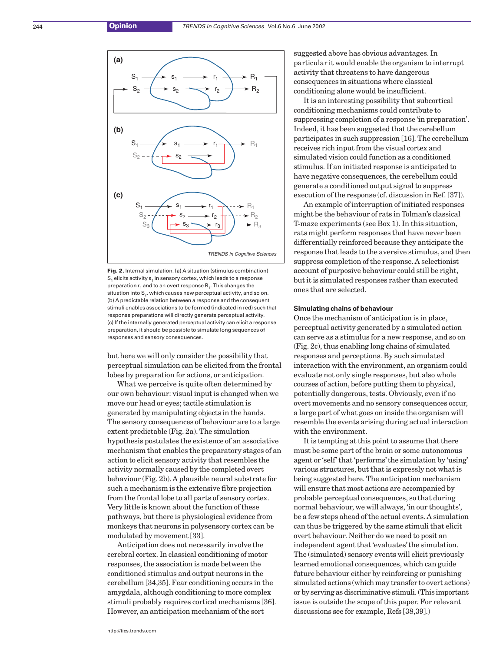244 **Opinion**



**Fig. 2.** Internal simulation. (a) A situation (stimulus combination) S, elicits activity s, in sensory cortex, which leads to a response preparation  $r_1$  and to an overt response  $R_1$ . This changes the situation into  $S_{2}$ , which causes new perceptual activity, and so on. (b) A predictable relation between a response and the consequent stimuli enables associations to be formed (indicated in red) such that response preparations will directly generate perceptual activity. (c) If the internally generated perceptual activity can elicit a response preparation, it should be possible to simulate long sequences of responses and sensory consequences.

but here we will only consider the possibility that perceptual simulation can be elicited from the frontal lobes by preparation for actions, or anticipation.

What we perceive is quite often determined by our own behaviour: visual input is changed when we move our head or eyes; tactile stimulation is generated by manipulating objects in the hands. The sensory consequences of behaviour are to a large extent predictable (Fig. 2a). The simulation hypothesis postulates the existence of an associative mechanism that enables the preparatory stages of an action to elicit sensory activity that resembles the activity normally caused by the completed overt behaviour (Fig. 2b). A plausible neural substrate for such a mechanism is the extensive fibre projection from the frontal lobe to all parts of sensory cortex. Very little is known about the function of these pathways, but there is physiological evidence from monkeys that neurons in polysensory cortex can be modulated by movement [33].

Anticipation does not necessarily involve the cerebral cortex. In classical conditioning of motor responses, the association is made between the conditioned stimulus and output neurons in the cerebellum [34,35]. Fear conditioning occurs in the amygdala, although conditioning to more complex stimuli probably requires cortical mechanisms [36]. However, an anticipation mechanism of the sort

suggested above has obvious advantages. In particular it would enable the organism to interrupt activity that threatens to have dangerous consequences in situations where classical conditioning alone would be insufficient.

It is an interesting possibility that subcortical conditioning mechanisms could contribute to suppressing completion of a response 'in preparation'. Indeed, it has been suggested that the cerebellum participates in such suppression [16]. The cerebellum receives rich input from the visual cortex and simulated vision could function as a conditioned stimulus. If an initiated response is anticipated to have negative consequences, the cerebellum could generate a conditioned output signal to suppress execution of the response (cf. discussion in Ref. [37]).

An example of interruption of initiated responses might be the behaviour of rats in Tolman's classical T-maze experiments (see Box 1). In this situation, rats might perform responses that have never been differentially reinforced because they anticipate the response that leads to the aversive stimulus, and then suppress completion of the response. A selectionist account of purposive behaviour could still be right, but it is simulated responses rather than executed ones that are selected.

#### **Simulating chains of behaviour**

Once the mechanism of anticipation is in place, perceptual activity generated by a simulated action can serve as a stimulus for a new response, and so on (Fig. 2c), thus enabling long chains of simulated responses and perceptions. By such simulated interaction with the environment, an organism could evaluate not only single responses, but also whole courses of action, before putting them to physical, potentially dangerous, tests. Obviously, even if no overt movements and no sensory consequences occur, a large part of what goes on inside the organism will resemble the events arising during actual interaction with the environment.

It is tempting at this point to assume that there must be some part of the brain or some autonomous agent or 'self'that 'performs'the simulation by 'using' various structures, but that is expressly not what is being suggested here. The anticipation mechanism will ensure that most actions are accompanied by probable perceptual consequences, so that during normal behaviour, we will always, 'in our thoughts', be a few steps ahead of the actual events. A simulation can thus be triggered by the same stimuli that elicit overt behaviour. Neither do we need to posit an independent agent that 'evaluates'the simulation. The (simulated) sensory events will elicit previously learned emotional consequences, which can guide future behaviour either by reinforcing or punishing simulated actions (which may transfer to overt actions) or by serving as discriminative stimuli. (This important issue is outside the scope of this paper. For relevant discussions see for example, Refs [38,39].)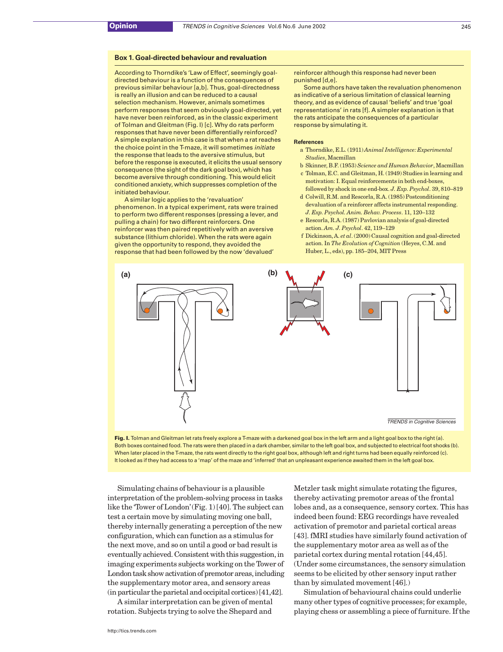#### **Box 1. Goal-directed behaviour and revaluation**

According to Thorndike's 'Law of Effect', seemingly goaldirected behaviour is a function of the consequences of previous similar behaviour [a,b]. Thus, goal-directedness is really an illusion and can be reduced to a causal selection mechanism. However, animals sometimes perform responses that seem obviously goal-directed, yet have never been reinforced, as in the classic experiment of Tolman and Gleitman (Fig. I) [c]. Why do rats perform responses that have never been differentially reinforced? A simple explanation in this case is that when a rat reaches the choice point in the T-maze, it will sometimes initiate the response that leads to the aversive stimulus, but before the response is executed, it elicits the usual sensory consequence (the sight of the dark goal box), which has become aversive through conditioning. This would elicit conditioned anxiety, which suppresses completion of the initiated behaviour.

A similar logic applies to the 'revaluation' phenomenon. In a typical experiment, rats were trained to perform two different responses (pressing a lever, and pulling a chain) for two different reinforcers. One reinforcer was then paired repetitively with an aversive substance (lithium chloride). When the rats were again given the opportunity to respond, they avoided the response that had been followed by the now 'devalued'

reinforcer although this response had never been punished [d,e].

Some authors have taken the revaluation phenomenon as indicative of a serious limitation of classical learning theory, and as evidence of causal 'beliefs' and true 'goal representations' in rats [f]. A simpler explanation is that the rats anticipate the consequences of a particular response by simulating it.

#### **References**

- a Thorndike, E.L. (1911) *Animal Intelligence: Experimental Studies*, Macmillan
- b Skinner, B.F. (1953) *Science and Human Behavior*, Macmillan c Tolman, E.C. and Gleitman, H. (1949) Studies in learning and
- motivation: I. Equal reinforcements in both end-boxes, followed by shock in one end-box. *J. Exp. Psychol*. 39, 810–819 d Colwill, R.M. and Rescorla, R.A. (1985) Postconditioning
- devaluation of a reinforcer affects instrumental responding. *J. Exp. Psychol. Anim. Behav. Process*. 11, 120–132
- e Rescorla, R.A. (1987) Pavlovian analysis of goal-directed action. *Am. J. Psychol*. 42, 119–129
- f Dickinson, A. *et al*. (2000) Causal cognition and goal-directed action. In *The Evolution of Cognition* (Heyes, C.M. and Huber, L., eds), pp. 185–204, MIT Press





Simulating chains of behaviour is a plausible interpretation of the problem-solving process in tasks like the 'Tower of London'(Fig. 1) [40]. The subject can test a certain move by simulating moving one ball, thereby internally generating a perception of the new configuration, which can function as a stimulus for the next move, and so on until a good or bad result is eventually achieved. Consistent with this suggestion, in imaging experiments subjects working on the Tower of London task show activation of premotor areas, including the supplementary motor area, and sensory areas (in particular the parietal and occipital cortices) [41,42].

A similar interpretation can be given of mental rotation. Subjects trying to solve the Shepard and

Metzler task might simulate rotating the figures, thereby activating premotor areas of the frontal lobes and, as a consequence, sensory cortex. This has indeed been found: EEG recordings have revealed activation of premotor and parietal cortical areas [43]. fMRI studies have similarly found activation of the supplementary motor area as well as of the parietal cortex during mental rotation [44,45]. (Under some circumstances, the sensory simulation seems to be elicited by other sensory input rather than by simulated movement [46].)

Simulation of behavioural chains could underlie many other types of cognitive processes; for example, playing chess or assembling a piece of furniture. If the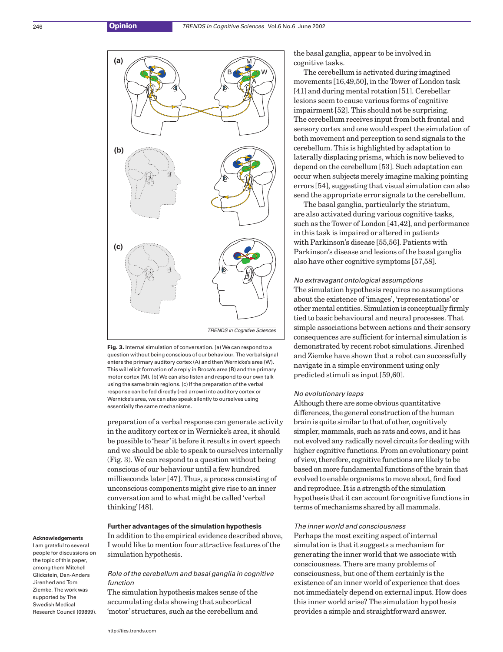246 **Opinion**





preparation of a verbal response can generate activity in the auditory cortex or in Wernicke's area, it should be possible to 'hear'it before it results in overt speech and we should be able to speak to ourselves internally (Fig. 3). We can respond to a question without being conscious of our behaviour until a few hundred milliseconds later [47]. Thus, a process consisting of unconscious components might give rise to an inner conversation and to what might be called 'verbal thinking'[48].

#### **Further advantages of the simulation hypothesis**

In addition to the empirical evidence described above, I would like to mention four attractive features of the simulation hypothesis.

## Role of the cerebellum and basal ganglia in cognitive function

The simulation hypothesis makes sense of the accumulating data showing that subcortical 'motor'structures, such as the cerebellum and the basal ganglia, appear to be involved in cognitive tasks.

The cerebellum is activated during imagined movements [16,49,50], in the Tower of London task [41] and during mental rotation [51]. Cerebellar lesions seem to cause various forms of cognitive impairment [52]. This should not be surprising. The cerebellum receives input from both frontal and sensory cortex and one would expect the simulation of both movement and perception to send signals to the cerebellum. This is highlighted by adaptation to laterally displacing prisms, which is now believed to depend on the cerebellum [53]. Such adaptation can occur when subjects merely imagine making pointing errors [54], suggesting that visual simulation can also send the appropriate error signals to the cerebellum.

The basal ganglia, particularly the striatum, are also activated during various cognitive tasks, such as the Tower of London [41,42], and performance in this task is impaired or altered in patients with Parkinson's disease [55,56]. Patients with Parkinson's disease and lesions of the basal ganglia also have other cognitive symptoms [57,58].

#### No extravagant ontological assumptions

The simulation hypothesis requires no assumptions about the existence of 'images', 'representations'or other mental entities. Simulation is conceptually firmly tied to basic behavioural and neural processes. That simple associations between actions and their sensory consequences are sufficient for internal simulation is demonstrated by recent robot simulations. Jirenhed and Ziemke have shown that a robot can successfully navigate in a simple environment using only predicted stimuli as input [59,60].

#### No evolutionary leaps

Although there are some obvious quantitative differences, the general construction of the human brain is quite similar to that of other, cognitively simpler, mammals, such as rats and cows, and it has not evolved any radically novel circuits for dealing with higher cognitive functions. From an evolutionary point of view, therefore, cognitive functions are likely to be based on more fundamental functions of the brain that evolved to enable organisms to move about, find food and reproduce. It is a strength of the simulation hypothesis that it can account for cognitive functions in terms of mechanisms shared by all mammals.

#### The inner world and consciousness

Perhaps the most exciting aspect of internal simulation is that it suggests a mechanism for generating the inner world that we associate with consciousness. There are many problems of consciousness, but one of them certainly is the existence of an inner world of experience that does not immediately depend on external input. How does this inner world arise? The simulation hypothesis provides a simple and straightforward answer.

#### **Acknowledgements** I am grateful to several

people for discussions on the topic of this paper, among them Mitchell Glickstein, Dan-Anders Jirenhed and Tom Ziemke. The work was supported by The Swedish Medical Research Council (09899).